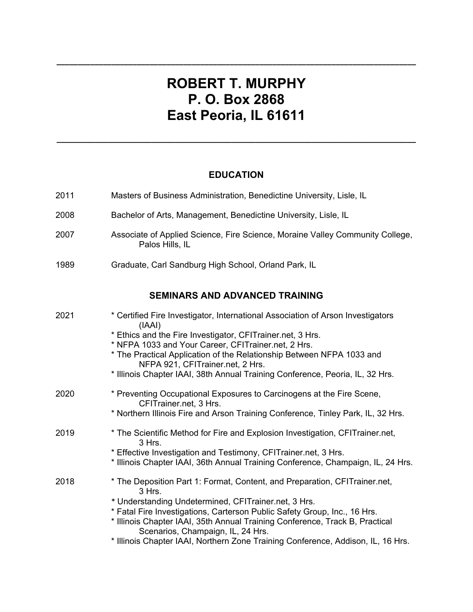## **ROBERT T. MURPHY P. O. Box 2868 East Peoria, IL 61611**

**\_\_\_\_\_\_\_\_\_\_\_\_\_\_\_\_\_\_\_\_\_\_\_\_\_\_\_\_\_\_\_\_\_\_\_\_\_\_\_\_\_\_\_\_\_\_\_\_\_\_\_\_\_\_\_\_\_\_\_\_\_\_\_\_\_\_\_\_\_\_\_\_\_\_\_\_\_\_\_\_\_\_\_\_\_** 

## **EDUCATION**

**\_\_\_\_\_\_\_\_\_\_\_\_\_\_\_\_\_\_\_\_\_\_\_\_\_\_\_\_\_\_\_\_\_\_\_\_\_\_\_\_\_\_\_\_\_\_\_\_\_\_\_\_\_\_\_\_\_\_\_\_\_\_\_\_\_\_\_\_\_\_\_\_\_\_\_\_**

| 2011 | Masters of Business Administration, Benedictine University, Lisle, IL                                                                                                                                                                                                                                                                                                                                                              |  |
|------|------------------------------------------------------------------------------------------------------------------------------------------------------------------------------------------------------------------------------------------------------------------------------------------------------------------------------------------------------------------------------------------------------------------------------------|--|
| 2008 | Bachelor of Arts, Management, Benedictine University, Lisle, IL                                                                                                                                                                                                                                                                                                                                                                    |  |
| 2007 | Associate of Applied Science, Fire Science, Moraine Valley Community College,<br>Palos Hills, IL                                                                                                                                                                                                                                                                                                                                   |  |
| 1989 | Graduate, Carl Sandburg High School, Orland Park, IL                                                                                                                                                                                                                                                                                                                                                                               |  |
|      | <b>SEMINARS AND ADVANCED TRAINING</b>                                                                                                                                                                                                                                                                                                                                                                                              |  |
| 2021 | * Certified Fire Investigator, International Association of Arson Investigators<br>(IAAI)<br>* Ethics and the Fire Investigator, CFITrainer.net, 3 Hrs.<br>* NFPA 1033 and Your Career, CFITrainer.net, 2 Hrs.<br>* The Practical Application of the Relationship Between NFPA 1033 and<br>NFPA 921, CFITrainer.net, 2 Hrs.<br>* Illinois Chapter IAAI, 38th Annual Training Conference, Peoria, IL, 32 Hrs.                       |  |
| 2020 | * Preventing Occupational Exposures to Carcinogens at the Fire Scene,<br>CFITrainer.net, 3 Hrs.<br>* Northern Illinois Fire and Arson Training Conference, Tinley Park, IL, 32 Hrs.                                                                                                                                                                                                                                                |  |
| 2019 | * The Scientific Method for Fire and Explosion Investigation, CFITrainer.net,<br>3 Hrs.<br>* Effective Investigation and Testimony, CFITrainer.net, 3 Hrs.<br>* Illinois Chapter IAAI, 36th Annual Training Conference, Champaign, IL, 24 Hrs.                                                                                                                                                                                     |  |
| 2018 | * The Deposition Part 1: Format, Content, and Preparation, CFITrainer.net,<br>3 Hrs.<br>* Understanding Undetermined, CFITrainer.net, 3 Hrs.<br>* Fatal Fire Investigations, Carterson Public Safety Group, Inc., 16 Hrs.<br>* Illinois Chapter IAAI, 35th Annual Training Conference, Track B, Practical<br>Scenarios, Champaign, IL, 24 Hrs.<br>* Illinois Chapter IAAI, Northern Zone Training Conference, Addison, IL, 16 Hrs. |  |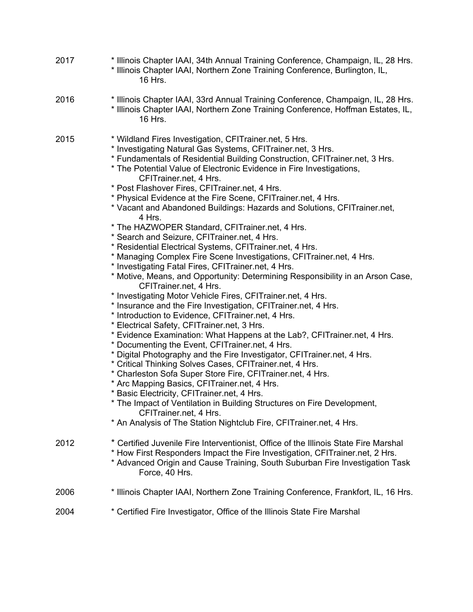| 2017 | * Illinois Chapter IAAI, 34th Annual Training Conference, Champaign, IL, 28 Hrs.<br>* Illinois Chapter IAAI, Northern Zone Training Conference, Burlington, IL,<br>16 Hrs.                                                                                                                                                                                                                                                                                                                                                                                                                                                                                                                                                                                                                                                                                                                                                                                                                                                                                                                                                                                                                                                                                                                                                                                                                                                                                                                                                                                                                                                                                                                                                                                                     |
|------|--------------------------------------------------------------------------------------------------------------------------------------------------------------------------------------------------------------------------------------------------------------------------------------------------------------------------------------------------------------------------------------------------------------------------------------------------------------------------------------------------------------------------------------------------------------------------------------------------------------------------------------------------------------------------------------------------------------------------------------------------------------------------------------------------------------------------------------------------------------------------------------------------------------------------------------------------------------------------------------------------------------------------------------------------------------------------------------------------------------------------------------------------------------------------------------------------------------------------------------------------------------------------------------------------------------------------------------------------------------------------------------------------------------------------------------------------------------------------------------------------------------------------------------------------------------------------------------------------------------------------------------------------------------------------------------------------------------------------------------------------------------------------------|
| 2016 | * Illinois Chapter IAAI, 33rd Annual Training Conference, Champaign, IL, 28 Hrs.<br>* Illinois Chapter IAAI, Northern Zone Training Conference, Hoffman Estates, IL,<br>16 Hrs.                                                                                                                                                                                                                                                                                                                                                                                                                                                                                                                                                                                                                                                                                                                                                                                                                                                                                                                                                                                                                                                                                                                                                                                                                                                                                                                                                                                                                                                                                                                                                                                                |
| 2015 | * Wildland Fires Investigation, CFITrainer.net, 5 Hrs.<br>* Investigating Natural Gas Systems, CFITrainer.net, 3 Hrs.<br>* Fundamentals of Residential Building Construction, CFITrainer.net, 3 Hrs.<br>* The Potential Value of Electronic Evidence in Fire Investigations,<br>CFITrainer.net, 4 Hrs.<br>* Post Flashover Fires, CFITrainer.net, 4 Hrs.<br>* Physical Evidence at the Fire Scene, CFITrainer.net, 4 Hrs.<br>* Vacant and Abandoned Buildings: Hazards and Solutions, CFITrainer.net,<br>4 Hrs.<br>* The HAZWOPER Standard, CFITrainer.net, 4 Hrs.<br>* Search and Seizure, CFITrainer.net, 4 Hrs.<br>* Residential Electrical Systems, CFITrainer.net, 4 Hrs.<br>* Managing Complex Fire Scene Investigations, CFITrainer.net, 4 Hrs.<br>* Investigating Fatal Fires, CFITrainer.net, 4 Hrs.<br>* Motive, Means, and Opportunity: Determining Responsibility in an Arson Case,<br>CFITrainer.net, 4 Hrs.<br>* Investigating Motor Vehicle Fires, CFITrainer.net, 4 Hrs.<br>* Insurance and the Fire Investigation, CFITrainer.net, 4 Hrs.<br>* Introduction to Evidence, CFITrainer.net, 4 Hrs.<br>* Electrical Safety, CFITrainer.net, 3 Hrs.<br>* Evidence Examination: What Happens at the Lab?, CFITrainer.net, 4 Hrs.<br>* Documenting the Event, CFITrainer.net, 4 Hrs.<br>* Digital Photography and the Fire Investigator, CFITrainer.net, 4 Hrs.<br>* Critical Thinking Solves Cases, CFITrainer.net, 4 Hrs.<br>* Charleston Sofa Super Store Fire, CFITrainer.net, 4 Hrs.<br>* Arc Mapping Basics, CFITrainer.net, 4 Hrs.<br>* Basic Electricity, CFITrainer.net, 4 Hrs.<br>* The Impact of Ventilation in Building Structures on Fire Development,<br>CFITrainer.net, 4 Hrs.<br>* An Analysis of The Station Nightclub Fire, CFITrainer.net, 4 Hrs. |
| 2012 | * Certified Juvenile Fire Interventionist, Office of the Illinois State Fire Marshal<br>* How First Responders Impact the Fire Investigation, CFITrainer.net, 2 Hrs.<br>* Advanced Origin and Cause Training, South Suburban Fire Investigation Task<br>Force, 40 Hrs.                                                                                                                                                                                                                                                                                                                                                                                                                                                                                                                                                                                                                                                                                                                                                                                                                                                                                                                                                                                                                                                                                                                                                                                                                                                                                                                                                                                                                                                                                                         |
| 2006 | * Illinois Chapter IAAI, Northern Zone Training Conference, Frankfort, IL, 16 Hrs.                                                                                                                                                                                                                                                                                                                                                                                                                                                                                                                                                                                                                                                                                                                                                                                                                                                                                                                                                                                                                                                                                                                                                                                                                                                                                                                                                                                                                                                                                                                                                                                                                                                                                             |
| 2004 | * Certified Fire Investigator, Office of the Illinois State Fire Marshal                                                                                                                                                                                                                                                                                                                                                                                                                                                                                                                                                                                                                                                                                                                                                                                                                                                                                                                                                                                                                                                                                                                                                                                                                                                                                                                                                                                                                                                                                                                                                                                                                                                                                                       |